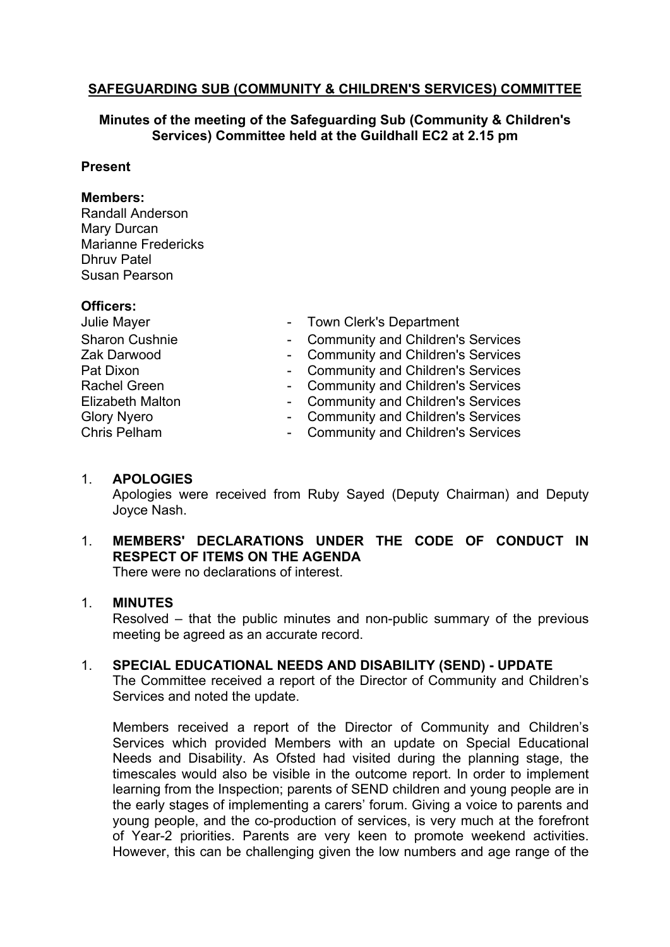# **SAFEGUARDING SUB (COMMUNITY & CHILDREN'S SERVICES) COMMITTEE**

### **Minutes of the meeting of the Safeguarding Sub (Community & Children's Services) Committee held at the Guildhall EC2 at 2.15 pm**

#### **Present**

#### **Members:**

Randall Anderson Mary Durcan Marianne Fredericks Dhruv Patel Susan Pearson

#### **Officers:**

| Julie Mayer           | - Town Clerk's Department           |
|-----------------------|-------------------------------------|
| <b>Sharon Cushnie</b> | - Community and Children's Services |
| Zak Darwood           | - Community and Children's Services |
| Pat Dixon             | - Community and Children's Services |
| <b>Rachel Green</b>   | - Community and Children's Services |
| Elizabeth Malton      | - Community and Children's Services |
| <b>Glory Nyero</b>    | - Community and Children's Services |
| Chris Pelham          | - Community and Children's Services |

# - Community and Children's Services

#### 1. **APOLOGIES**

Apologies were received from Ruby Sayed (Deputy Chairman) and Deputy Joyce Nash.

# 1. **MEMBERS' DECLARATIONS UNDER THE CODE OF CONDUCT IN RESPECT OF ITEMS ON THE AGENDA**

There were no declarations of interest.

### 1. **MINUTES**

Resolved – that the public minutes and non-public summary of the previous meeting be agreed as an accurate record.

### 1. **SPECIAL EDUCATIONAL NEEDS AND DISABILITY (SEND) - UPDATE**

The Committee received a report of the Director of Community and Children's Services and noted the update.

Members received a report of the Director of Community and Children's Services which provided Members with an update on Special Educational Needs and Disability. As Ofsted had visited during the planning stage, the timescales would also be visible in the outcome report. In order to implement learning from the Inspection; parents of SEND children and young people are in the early stages of implementing a carers' forum. Giving a voice to parents and young people, and the co-production of services, is very much at the forefront of Year-2 priorities. Parents are very keen to promote weekend activities. However, this can be challenging given the low numbers and age range of the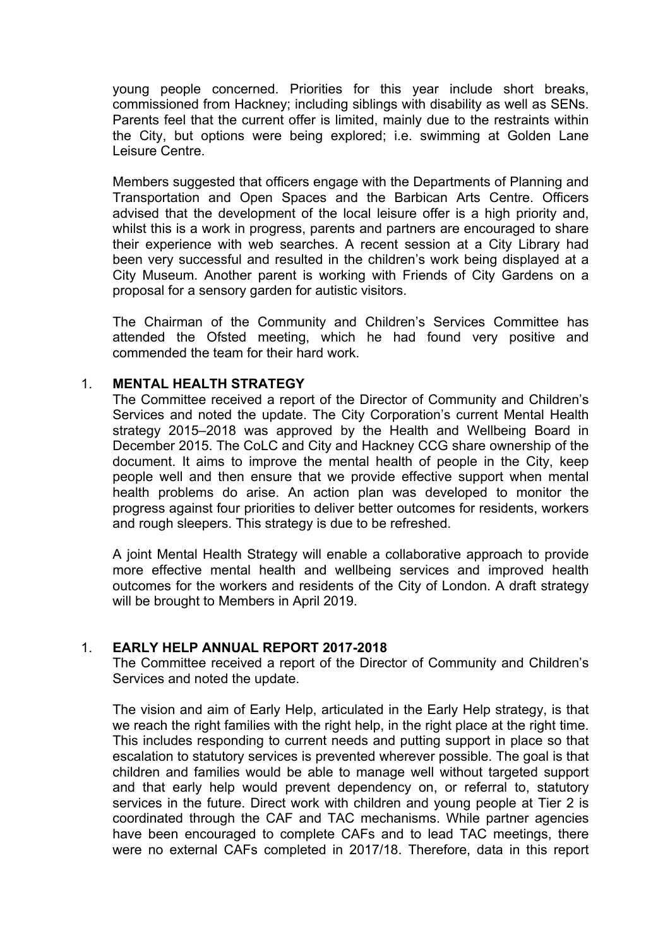young people concerned. Priorities for this year include short breaks, commissioned from Hackney; including siblings with disability as well as SENs. Parents feel that the current offer is limited, mainly due to the restraints within the City, but options were being explored; i.e. swimming at Golden Lane Leisure Centre.

Members suggested that officers engage with the Departments of Planning and Transportation and Open Spaces and the Barbican Arts Centre. Officers advised that the development of the local leisure offer is a high priority and, whilst this is a work in progress, parents and partners are encouraged to share their experience with web searches. A recent session at a City Library had been very successful and resulted in the children's work being displayed at a City Museum. Another parent is working with Friends of City Gardens on a proposal for a sensory garden for autistic visitors.

The Chairman of the Community and Children's Services Committee has attended the Ofsted meeting, which he had found very positive and commended the team for their hard work.

#### 1. **MENTAL HEALTH STRATEGY**

The Committee received a report of the Director of Community and Children's Services and noted the update. The City Corporation's current Mental Health strategy 2015–2018 was approved by the Health and Wellbeing Board in December 2015. The CoLC and City and Hackney CCG share ownership of the document. It aims to improve the mental health of people in the City, keep people well and then ensure that we provide effective support when mental health problems do arise. An action plan was developed to monitor the progress against four priorities to deliver better outcomes for residents, workers and rough sleepers. This strategy is due to be refreshed.

A joint Mental Health Strategy will enable a collaborative approach to provide more effective mental health and wellbeing services and improved health outcomes for the workers and residents of the City of London. A draft strategy will be brought to Members in April 2019.

#### 1. **EARLY HELP ANNUAL REPORT 2017-2018**

The Committee received a report of the Director of Community and Children's Services and noted the update.

The vision and aim of Early Help, articulated in the Early Help strategy, is that we reach the right families with the right help, in the right place at the right time. This includes responding to current needs and putting support in place so that escalation to statutory services is prevented wherever possible. The goal is that children and families would be able to manage well without targeted support and that early help would prevent dependency on, or referral to, statutory services in the future. Direct work with children and young people at Tier 2 is coordinated through the CAF and TAC mechanisms. While partner agencies have been encouraged to complete CAFs and to lead TAC meetings, there were no external CAFs completed in 2017/18. Therefore, data in this report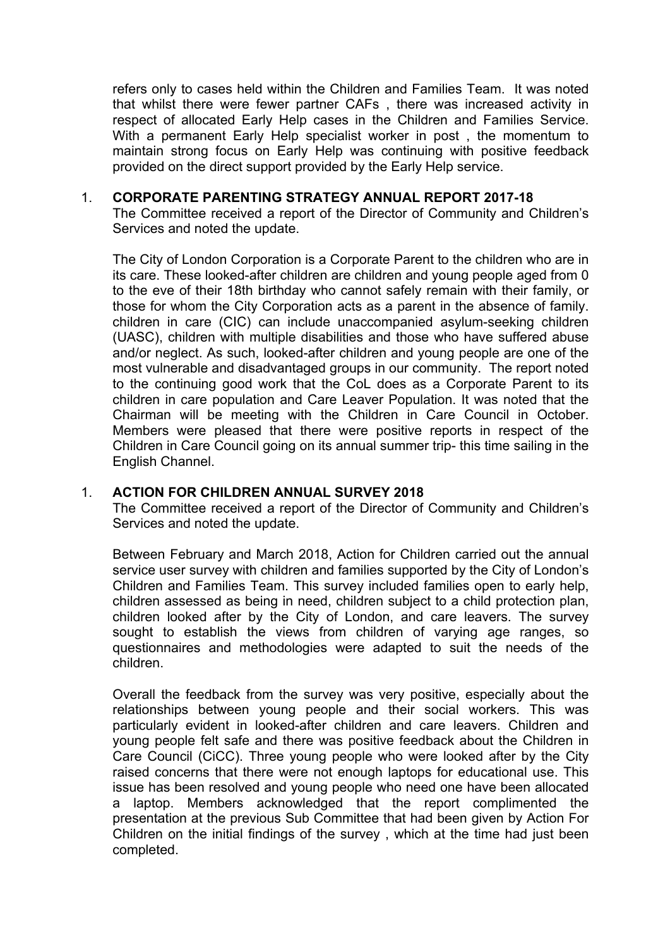refers only to cases held within the Children and Families Team. It was noted that whilst there were fewer partner CAFs , there was increased activity in respect of allocated Early Help cases in the Children and Families Service. With a permanent Early Help specialist worker in post , the momentum to maintain strong focus on Early Help was continuing with positive feedback provided on the direct support provided by the Early Help service.

#### 1. **CORPORATE PARENTING STRATEGY ANNUAL REPORT 2017-18**

The Committee received a report of the Director of Community and Children's Services and noted the update.

The City of London Corporation is a Corporate Parent to the children who are in its care. These looked-after children are children and young people aged from 0 to the eve of their 18th birthday who cannot safely remain with their family, or those for whom the City Corporation acts as a parent in the absence of family. children in care (CIC) can include unaccompanied asylum-seeking children (UASC), children with multiple disabilities and those who have suffered abuse and/or neglect. As such, looked-after children and young people are one of the most vulnerable and disadvantaged groups in our community. The report noted to the continuing good work that the CoL does as a Corporate Parent to its children in care population and Care Leaver Population. It was noted that the Chairman will be meeting with the Children in Care Council in October. Members were pleased that there were positive reports in respect of the Children in Care Council going on its annual summer trip- this time sailing in the English Channel.

### 1. **ACTION FOR CHILDREN ANNUAL SURVEY 2018**

The Committee received a report of the Director of Community and Children's Services and noted the update.

Between February and March 2018, Action for Children carried out the annual service user survey with children and families supported by the City of London's Children and Families Team. This survey included families open to early help, children assessed as being in need, children subject to a child protection plan, children looked after by the City of London, and care leavers. The survey sought to establish the views from children of varying age ranges, so questionnaires and methodologies were adapted to suit the needs of the children.

Overall the feedback from the survey was very positive, especially about the relationships between young people and their social workers. This was particularly evident in looked-after children and care leavers. Children and young people felt safe and there was positive feedback about the Children in Care Council (CiCC). Three young people who were looked after by the City raised concerns that there were not enough laptops for educational use. This issue has been resolved and young people who need one have been allocated a laptop. Members acknowledged that the report complimented the presentation at the previous Sub Committee that had been given by Action For Children on the initial findings of the survey , which at the time had just been completed.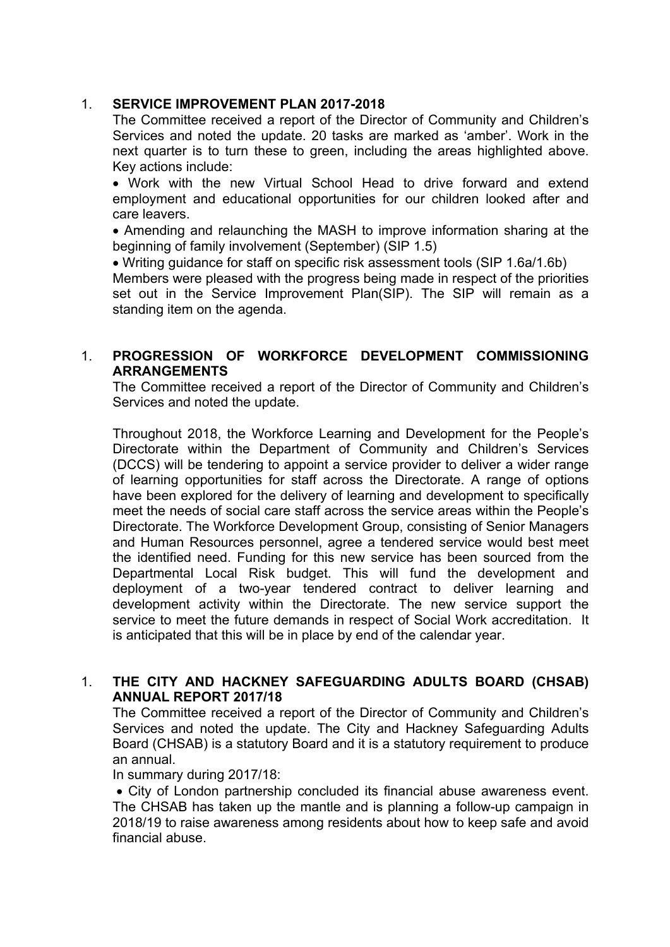# 1. **SERVICE IMPROVEMENT PLAN 2017-2018**

The Committee received a report of the Director of Community and Children's Services and noted the update. 20 tasks are marked as 'amber'. Work in the next quarter is to turn these to green, including the areas highlighted above. Key actions include:

 Work with the new Virtual School Head to drive forward and extend employment and educational opportunities for our children looked after and care leavers.

 Amending and relaunching the MASH to improve information sharing at the beginning of family involvement (September) (SIP 1.5)

Writing guidance for staff on specific risk assessment tools (SIP 1.6a/1.6b)

Members were pleased with the progress being made in respect of the priorities set out in the Service Improvement Plan(SIP). The SIP will remain as a standing item on the agenda.

# 1. **PROGRESSION OF WORKFORCE DEVELOPMENT COMMISSIONING ARRANGEMENTS**

The Committee received a report of the Director of Community and Children's Services and noted the update.

Throughout 2018, the Workforce Learning and Development for the People's Directorate within the Department of Community and Children's Services (DCCS) will be tendering to appoint a service provider to deliver a wider range of learning opportunities for staff across the Directorate. A range of options have been explored for the delivery of learning and development to specifically meet the needs of social care staff across the service areas within the People's Directorate. The Workforce Development Group, consisting of Senior Managers and Human Resources personnel, agree a tendered service would best meet the identified need. Funding for this new service has been sourced from the Departmental Local Risk budget. This will fund the development and deployment of a two-year tendered contract to deliver learning and development activity within the Directorate. The new service support the service to meet the future demands in respect of Social Work accreditation. It is anticipated that this will be in place by end of the calendar year.

# 1. **THE CITY AND HACKNEY SAFEGUARDING ADULTS BOARD (CHSAB) ANNUAL REPORT 2017/18**

The Committee received a report of the Director of Community and Children's Services and noted the update. The City and Hackney Safeguarding Adults Board (CHSAB) is a statutory Board and it is a statutory requirement to produce an annual.

In summary during 2017/18:

 City of London partnership concluded its financial abuse awareness event. The CHSAB has taken up the mantle and is planning a follow-up campaign in 2018/19 to raise awareness among residents about how to keep safe and avoid financial abuse.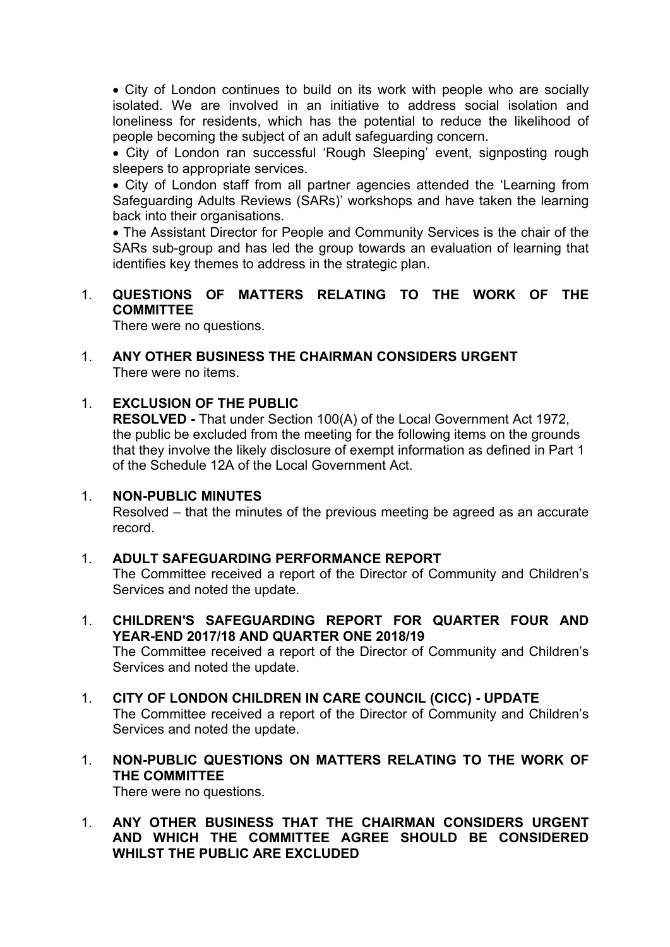• City of London continues to build on its work with people who are socially isolated. We are involved in an initiative to address social isolation and loneliness for residents, which has the potential to reduce the likelihood of people becoming the subject of an adult safeguarding concern.

 City of London ran successful 'Rough Sleeping' event, signposting rough sleepers to appropriate services.

 City of London staff from all partner agencies attended the 'Learning from Safeguarding Adults Reviews (SARs)' workshops and have taken the learning back into their organisations.

 The Assistant Director for People and Community Services is the chair of the SARs sub-group and has led the group towards an evaluation of learning that identifies key themes to address in the strategic plan.

## 1. **QUESTIONS OF MATTERS RELATING TO THE WORK OF THE COMMITTEE**

There were no questions.

#### 1. **ANY OTHER BUSINESS THE CHAIRMAN CONSIDERS URGENT** There were no items.

# 1. **EXCLUSION OF THE PUBLIC**

**RESOLVED -** That under Section 100(A) of the Local Government Act 1972, the public be excluded from the meeting for the following items on the grounds that they involve the likely disclosure of exempt information as defined in Part 1 of the Schedule 12A of the Local Government Act.

### 1. **NON-PUBLIC MINUTES**

Resolved – that the minutes of the previous meeting be agreed as an accurate record.

### 1. **ADULT SAFEGUARDING PERFORMANCE REPORT**

The Committee received a report of the Director of Community and Children's Services and noted the update.

1. **CHILDREN'S SAFEGUARDING REPORT FOR QUARTER FOUR AND YEAR-END 2017/18 AND QUARTER ONE 2018/19**

The Committee received a report of the Director of Community and Children's Services and noted the update.

- 1. **CITY OF LONDON CHILDREN IN CARE COUNCIL (CICC) - UPDATE** The Committee received a report of the Director of Community and Children's Services and noted the update.
- 1. **NON-PUBLIC QUESTIONS ON MATTERS RELATING TO THE WORK OF THE COMMITTEE** There were no questions.

# 1. **ANY OTHER BUSINESS THAT THE CHAIRMAN CONSIDERS URGENT AND WHICH THE COMMITTEE AGREE SHOULD BE CONSIDERED WHILST THE PUBLIC ARE EXCLUDED**